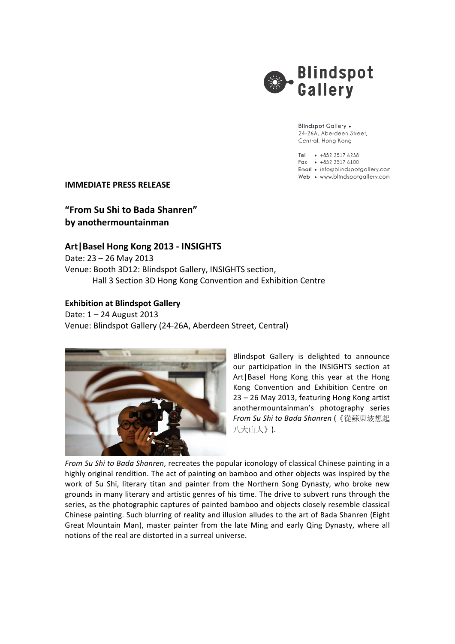

**Blindspot Gallery .** 24-26A, Aberdeen Street, Central, Hong Kong

Tel • +852 2517 6238 Fax  $\cdot$  +852 2517 6100 Email • info@blindspotgallery.com Web • www.blindspotgallery.com

**IMMEDIATE PRESS RELEASE** 

**"From Su Shi to Bada Shanren" by anothermountainman**

## **Art|Basel Hong Kong 2013 - INSIGHTS**

Date: 23 - 26 May 2013 Venue: Booth 3D12: Blindspot Gallery, INSIGHTS section, Hall 3 Section 3D Hong Kong Convention and Exhibition Centre

## **Exhibition at Blindspot Gallery**

Date: 1 - 24 August 2013 Venue: Blindspot Gallery (24-26A, Aberdeen Street, Central)



Blindspot Gallery is delighted to announce our participation in the INSIGHTS section at Art | Basel Hong Kong this year at the Hong Kong Convention and Exhibition Centre on 23 – 26 May 2013, featuring Hong Kong artist anothermountainman's photography series *From Su Shi to Bada Shanren* (《從蘇東坡想起 八大山人》).

*From Su Shi to Bada Shanren,* recreates the popular iconology of classical Chinese painting in a highly original rendition. The act of painting on bamboo and other objects was inspired by the work of Su Shi, literary titan and painter from the Northern Song Dynasty, who broke new grounds in many literary and artistic genres of his time. The drive to subvert runs through the series, as the photographic captures of painted bamboo and objects closely resemble classical Chinese painting. Such blurring of reality and illusion alludes to the art of Bada Shanren (Eight Great Mountain Man), master painter from the late Ming and early Qing Dynasty, where all notions of the real are distorted in a surreal universe.